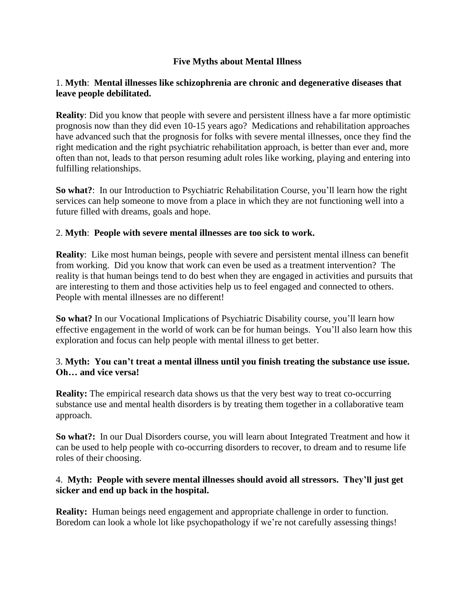# **Five Myths about Mental Illness**

## 1. **Myth**: **Mental illnesses like schizophrenia are chronic and degenerative diseases that leave people debilitated.**

**Reality**: Did you know that people with severe and persistent illness have a far more optimistic prognosis now than they did even 10-15 years ago? Medications and rehabilitation approaches have advanced such that the prognosis for folks with severe mental illnesses, once they find the right medication and the right psychiatric rehabilitation approach, is better than ever and, more often than not, leads to that person resuming adult roles like working, playing and entering into fulfilling relationships.

**So what?**: In our Introduction to Psychiatric Rehabilitation Course, you'll learn how the right services can help someone to move from a place in which they are not functioning well into a future filled with dreams, goals and hope.

## 2. **Myth**: **People with severe mental illnesses are too sick to work.**

**Reality**: Like most human beings, people with severe and persistent mental illness can benefit from working. Did you know that work can even be used as a treatment intervention? The reality is that human beings tend to do best when they are engaged in activities and pursuits that are interesting to them and those activities help us to feel engaged and connected to others. People with mental illnesses are no different!

**So what?** In our Vocational Implications of Psychiatric Disability course, you'll learn how effective engagement in the world of work can be for human beings. You'll also learn how this exploration and focus can help people with mental illness to get better.

## 3. **Myth: You can't treat a mental illness until you finish treating the substance use issue. Oh… and vice versa!**

**Reality:** The empirical research data shows us that the very best way to treat co-occurring substance use and mental health disorders is by treating them together in a collaborative team approach.

**So what?:** In our Dual Disorders course, you will learn about Integrated Treatment and how it can be used to help people with co-occurring disorders to recover, to dream and to resume life roles of their choosing.

## 4. **Myth: People with severe mental illnesses should avoid all stressors. They'll just get sicker and end up back in the hospital.**

**Reality:** Human beings need engagement and appropriate challenge in order to function. Boredom can look a whole lot like psychopathology if we're not carefully assessing things!